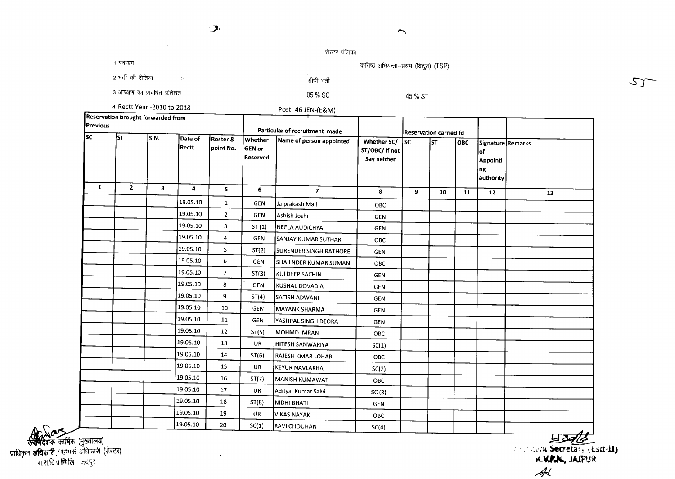$\mathcal{L}$ 

 $\overline{a}$ 

 $\sim$ 

 $\rightarrow$ 

1 पदनाम

रोस्टर पंजिका

05 % 8C

सीधी भर्ती

Post- 46 JEN-(E&M)

कनिष्ठ अभियन्ता--प्रथम (विद्युत) (TSP)

2 भर्ती की रीतियां

3 आरक्षण का प्रावधित प्रतिशत

45 % 8T

 $\sim 10^7$ 

4 Rectt Year -2010 to 2018

| Reservation brought forwarded from<br><b>Previous</b> |              |                         |                     |                       | 31<br>Particular of recruitment made |                               |                                              | <b>Reservation carried fd</b> |     |            |                                                                |    |
|-------------------------------------------------------|--------------|-------------------------|---------------------|-----------------------|--------------------------------------|-------------------------------|----------------------------------------------|-------------------------------|-----|------------|----------------------------------------------------------------|----|
| lsc                                                   | lsт          | S.N.                    | Date of<br>Rectt.   | Roster &<br>point No. | <b>Whether</b><br>GEN or<br>Reserved | Name of person appointed      | Whether SC/<br>ST/OBC/ if not<br>Say neither | lsc.                          | lsт | <b>OBC</b> | Signature Remarks<br>lof<br><b>Appointi</b><br>ng<br>authority |    |
| 1                                                     | $\mathbf{z}$ | $\overline{\mathbf{3}}$ | $\ddot{\mathbf{a}}$ | 5                     | 6                                    | $\overline{\mathbf{z}}$       | 8                                            | 9                             | 10  | 11         | 12                                                             | 13 |
|                                                       |              |                         | 19.05.10            | $\mathbf{1}$          | GEN                                  | Jaiprakash Mali               | OBC                                          |                               |     |            |                                                                |    |
|                                                       |              |                         | 19.05.10            | $\overline{2}$        | <b>GEN</b>                           | Ashish Joshi                  | <b>GEN</b>                                   |                               |     |            |                                                                |    |
|                                                       |              |                         | 19.05.10            | 3                     | ST(1)                                | <b>NEELA AUDICHYA</b>         | <b>GEN</b>                                   |                               |     |            |                                                                |    |
|                                                       |              |                         | 19.05.10            | 4                     | <b>GEN</b>                           | SANJAY KUMAR SUTHAR           | <b>OBC</b>                                   |                               |     |            |                                                                |    |
|                                                       |              |                         | 19.05.10            | 5                     | ST(2)                                | <b>SURENDER SINGH RATHORE</b> | <b>GEN</b>                                   |                               |     |            |                                                                |    |
|                                                       |              |                         | 19.05.10            | 6                     | GEN                                  | SHAILNDER KUMAR SUMAN         | ОВС                                          |                               |     |            |                                                                |    |
|                                                       |              |                         | 19.05.10            | $\overline{7}$        | ST(3)                                | <b>KULDEEP SACHIN</b>         | <b>GEN</b>                                   |                               |     |            |                                                                |    |
|                                                       |              |                         | 19.05.10            | 8                     | <b>GEN</b>                           | KUSHAL DOVADIA                | <b>GEN</b>                                   |                               |     |            |                                                                |    |
|                                                       |              |                         | 19.05.10            | 9                     | ST(4)                                | <b>SATISH ADWANI</b>          | <b>GEN</b>                                   |                               |     |            |                                                                |    |
|                                                       |              |                         | 19.05.10            | 10                    | <b>GEN</b>                           | MAYANK SHARMA                 | <b>GEN</b>                                   |                               |     |            |                                                                |    |
|                                                       |              |                         | 19.05.10            | 11                    | <b>GEN</b>                           | YASHPAL SINGH DEORA           | <b>GEN</b>                                   |                               |     |            |                                                                |    |
|                                                       |              |                         | 19.05.10            | 12                    | ST(5)                                | MOHMD IMRAN                   | <b>OBC</b>                                   |                               |     |            |                                                                |    |
|                                                       |              |                         | 19.05.10            | 13                    | <b>UR</b>                            | HITESH SANWARIYA              | SC(1)                                        |                               |     |            |                                                                |    |
|                                                       |              |                         | 19.05.10            | 14                    | ST(6)                                | <b>RAJESH KMAR LOHAR</b>      | <b>OBC</b>                                   |                               |     |            |                                                                |    |
|                                                       |              |                         | 19.05.10            | 15                    | UR                                   | <b>KEYUR NAVLAKHA</b>         | SC(2)                                        |                               |     |            |                                                                |    |
|                                                       |              |                         | 19.05.10            | 16                    | ST(7)                                | MANISH KUMAWAT                | <b>OBC</b>                                   |                               |     |            |                                                                |    |
|                                                       |              |                         | 19.05.10            | 17                    | <b>UR</b>                            | Aditya Kumar Salvi            | SC(3)                                        |                               |     |            |                                                                |    |
|                                                       |              |                         | 19.05.10            | 18                    | ST(8)                                | NIDHI BHATI                   | <b>GEN</b>                                   |                               |     |            |                                                                |    |
|                                                       |              |                         | 19.05.10            | 19                    | <b>UR</b>                            | <b>VIKAS NAYAK</b>            | OBC                                          |                               |     |            |                                                                |    |
|                                                       |              |                         | 19.05.10            | 20                    | SC(1)                                | <b>RAVI CHOUHAN</b>           | SC(4)                                        |                               |     |            |                                                                |    |

**of AMA (मु**ख्यालय)<br>प्राधिकृत **अधिकारी / सम्पर्क अ**धिकारी (रोस्टर)<br>रा.रा.वि.प्र.मि.लि. अथनुर

 $\frac{1}{\sqrt{2}}$ K.*VrI.M.,* JIoJPUR: *4L*

 $\mathcal{L}$